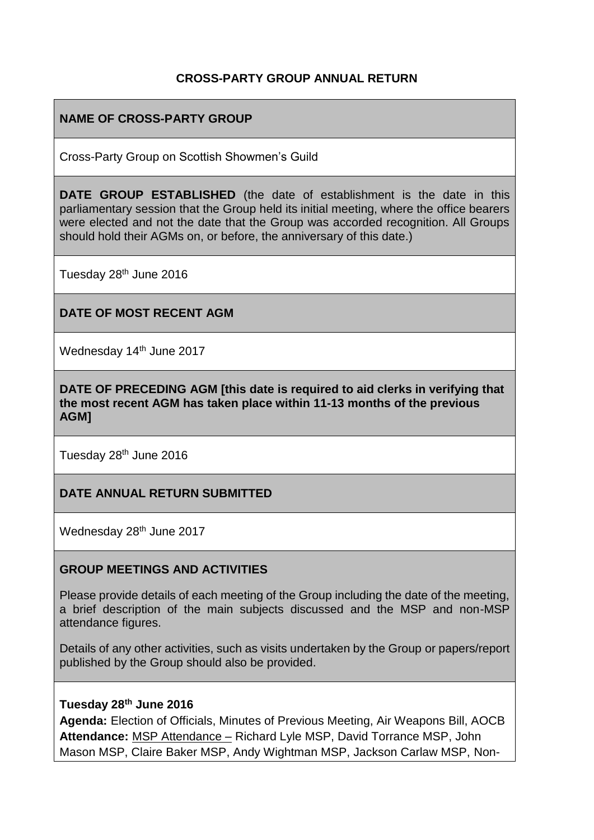### **CROSS-PARTY GROUP ANNUAL RETURN**

## **NAME OF CROSS-PARTY GROUP**

Cross-Party Group on Scottish Showmen's Guild

**DATE GROUP ESTABLISHED** (the date of establishment is the date in this parliamentary session that the Group held its initial meeting, where the office bearers were elected and not the date that the Group was accorded recognition. All Groups should hold their AGMs on, or before, the anniversary of this date.)

Tuesday 28<sup>th</sup> June 2016

### **DATE OF MOST RECENT AGM**

Wednesday 14<sup>th</sup> June 2017

**DATE OF PRECEDING AGM [this date is required to aid clerks in verifying that the most recent AGM has taken place within 11-13 months of the previous AGM]**

Tuesday 28<sup>th</sup> June 2016

### **DATE ANNUAL RETURN SUBMITTED**

Wednesday 28<sup>th</sup> June 2017

### **GROUP MEETINGS AND ACTIVITIES**

Please provide details of each meeting of the Group including the date of the meeting, a brief description of the main subjects discussed and the MSP and non-MSP attendance figures.

Details of any other activities, such as visits undertaken by the Group or papers/report published by the Group should also be provided.

### **Tuesday 28th June 2016**

**Agenda:** Election of Officials, Minutes of Previous Meeting, Air Weapons Bill, AOCB **Attendance:** MSP Attendance – Richard Lyle MSP, David Torrance MSP, John Mason MSP, Claire Baker MSP, Andy Wightman MSP, Jackson Carlaw MSP, Non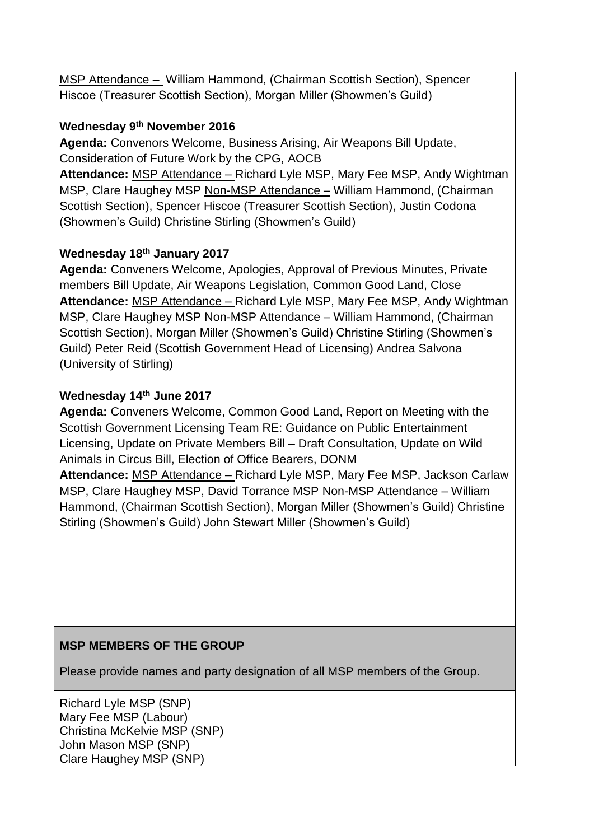MSP Attendance – William Hammond, (Chairman Scottish Section), Spencer Hiscoe (Treasurer Scottish Section), Morgan Miller (Showmen's Guild)

## **Wednesday 9th November 2016**

**Agenda:** Convenors Welcome, Business Arising, Air Weapons Bill Update, Consideration of Future Work by the CPG, AOCB

**Attendance:** MSP Attendance – Richard Lyle MSP, Mary Fee MSP, Andy Wightman MSP, Clare Haughey MSP Non-MSP Attendance – William Hammond, (Chairman Scottish Section), Spencer Hiscoe (Treasurer Scottish Section), Justin Codona (Showmen's Guild) Christine Stirling (Showmen's Guild)

## **Wednesday 18th January 2017**

**Agenda:** Conveners Welcome, Apologies, Approval of Previous Minutes, Private members Bill Update, Air Weapons Legislation, Common Good Land, Close **Attendance:** MSP Attendance – Richard Lyle MSP, Mary Fee MSP, Andy Wightman MSP, Clare Haughey MSP Non-MSP Attendance – William Hammond, (Chairman Scottish Section), Morgan Miller (Showmen's Guild) Christine Stirling (Showmen's Guild) Peter Reid (Scottish Government Head of Licensing) Andrea Salvona (University of Stirling)

# **Wednesday 14th June 2017**

**Agenda:** Conveners Welcome, Common Good Land, Report on Meeting with the Scottish Government Licensing Team RE: Guidance on Public Entertainment Licensing, Update on Private Members Bill – Draft Consultation, Update on Wild Animals in Circus Bill, Election of Office Bearers, DONM **Attendance:** MSP Attendance – Richard Lyle MSP, Mary Fee MSP, Jackson Carlaw

MSP, Clare Haughey MSP, David Torrance MSP Non-MSP Attendance – William Hammond, (Chairman Scottish Section), Morgan Miller (Showmen's Guild) Christine Stirling (Showmen's Guild) John Stewart Miller (Showmen's Guild)

# **MSP MEMBERS OF THE GROUP**

Please provide names and party designation of all MSP members of the Group.

Richard Lyle MSP (SNP) Mary Fee MSP (Labour) Christina McKelvie MSP (SNP) John Mason MSP (SNP) Clare Haughey MSP (SNP)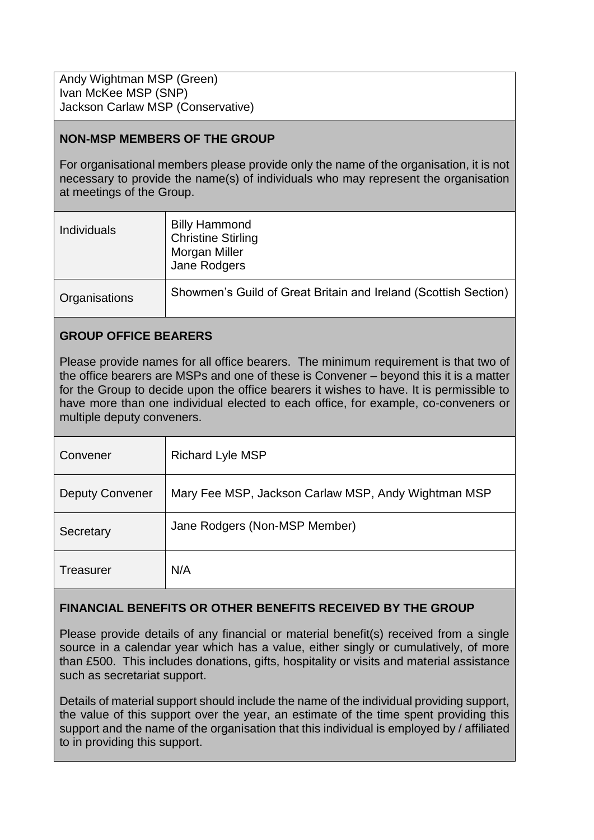Andy Wightman MSP (Green) Ivan McKee MSP (SNP) Jackson Carlaw MSP (Conservative)

## **NON-MSP MEMBERS OF THE GROUP**

For organisational members please provide only the name of the organisation, it is not necessary to provide the name(s) of individuals who may represent the organisation at meetings of the Group.

| <b>Individuals</b> | <b>Billy Hammond</b><br><b>Christine Stirling</b><br>Morgan Miller<br>Jane Rodgers |
|--------------------|------------------------------------------------------------------------------------|
| Organisations      | Showmen's Guild of Great Britain and Ireland (Scottish Section)                    |

## **GROUP OFFICE BEARERS**

Please provide names for all office bearers. The minimum requirement is that two of the office bearers are MSPs and one of these is Convener – beyond this it is a matter for the Group to decide upon the office bearers it wishes to have. It is permissible to have more than one individual elected to each office, for example, co-conveners or multiple deputy conveners.

| Convener               | <b>Richard Lyle MSP</b>                             |
|------------------------|-----------------------------------------------------|
| <b>Deputy Convener</b> | Mary Fee MSP, Jackson Carlaw MSP, Andy Wightman MSP |
| Secretary              | Jane Rodgers (Non-MSP Member)                       |
| <b>Treasurer</b>       | N/A                                                 |

### **FINANCIAL BENEFITS OR OTHER BENEFITS RECEIVED BY THE GROUP**

Please provide details of any financial or material benefit(s) received from a single source in a calendar year which has a value, either singly or cumulatively, of more than £500. This includes donations, gifts, hospitality or visits and material assistance such as secretariat support.

Details of material support should include the name of the individual providing support, the value of this support over the year, an estimate of the time spent providing this support and the name of the organisation that this individual is employed by / affiliated to in providing this support.